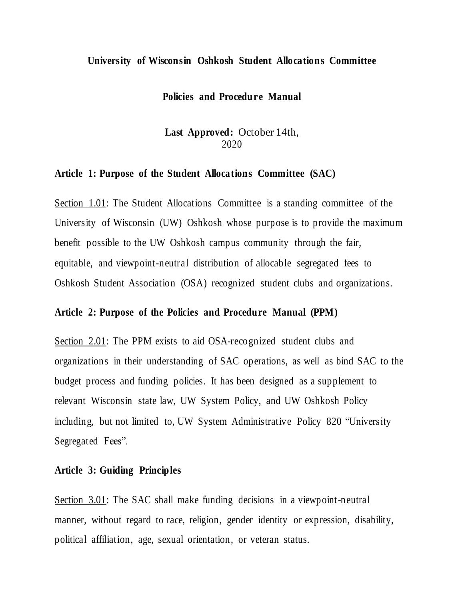#### **University of Wisconsin Oshkosh Student Allocations Committee**

#### **Policies and Procedure Manual**

# **Last Approved:** October 14th, 2020

#### **Article 1: Purpose of the Student Allocations Committee (SAC)**

Section 1.01: The Student Allocations Committee is a standing committee of the University of Wisconsin (UW) Oshkosh whose purpose is to provide the maximum benefit possible to the UW Oshkosh campus community through the fair, equitable, and viewpoint-neutral distribution of allocable segregated fees to Oshkosh Student Association (OSA) recognized student clubs and organizations.

#### **Article 2: Purpose of the Policies and Procedure Manual (PPM)**

Section 2.01: The PPM exists to aid OSA-recognized student clubs and organizations in their understanding of SAC operations, as well as bind SAC to the budget process and funding policies. It has been designed as a supplement to relevant Wisconsin state law, UW System Policy, and UW Oshkosh Policy including, but not limited to, UW System Administrative Policy 820 "University Segregated Fees".

### **Article 3: Guiding Principles**

Section 3.01: The SAC shall make funding decisions in a viewpoint-neutral manner, without regard to race, religion, gender identity or expression, disability, political affiliation, age, sexual orientation, or veteran status.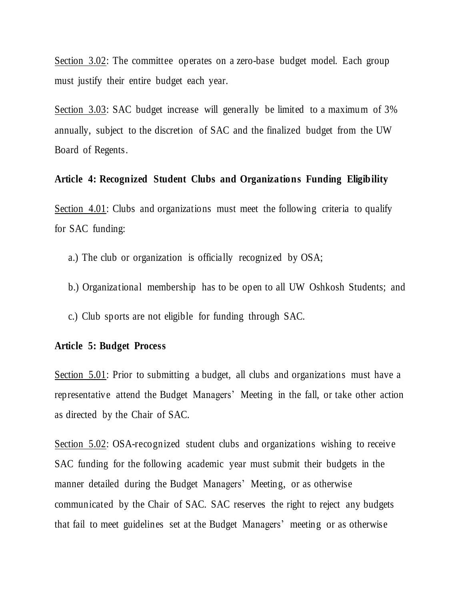Section 3.02: The committee operates on a zero-base budget model. Each group must justify their entire budget each year.

Section 3.03: SAC budget increase will generally be limited to a maximum of 3% annually, subject to the discretion of SAC and the finalized budget from the UW Board of Regents.

## **Article 4: Recognized Student Clubs and Organizations Funding Eligibility**

Section 4.01: Clubs and organizations must meet the following criteria to qualify for SAC funding:

a.) The club or organization is officially recognized by OSA;

- b.) Organizational membership has to be open to all UW Oshkosh Students; and
- c.) Club sports are not eligible for funding through SAC.

## **Article 5: Budget Process**

Section 5.01: Prior to submitting a budget, all clubs and organizations must have a representative attend the Budget Managers' Meeting in the fall, or take other action as directed by the Chair of SAC.

Section 5.02: OSA-recognized student clubs and organizations wishing to receive SAC funding for the following academic year must submit their budgets in the manner detailed during the Budget Managers' Meeting, or as otherwise communicated by the Chair of SAC. SAC reserves the right to reject any budgets that fail to meet guidelines set at the Budget Managers' meeting or as otherwise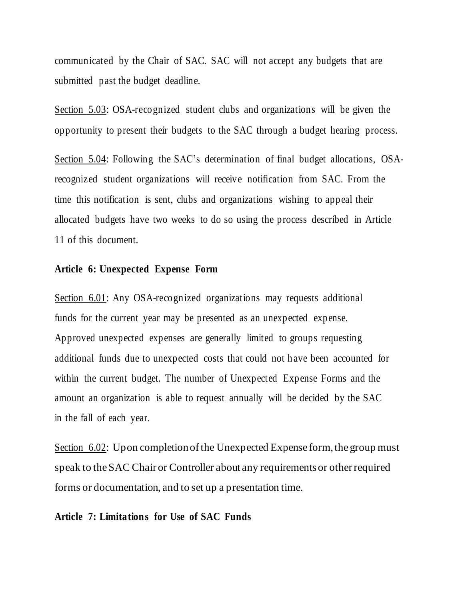communicated by the Chair of SAC. SAC will not accept any budgets that are submitted past the budget deadline.

Section 5.03: OSA-recognized student clubs and organizations will be given the opportunity to present their budgets to the SAC through a budget hearing process.

Section 5.04: Following the SAC's determination of final budget allocations, OSArecognized student organizations will receive notification from SAC. From the time this notification is sent, clubs and organizations wishing to appeal their allocated budgets have two weeks to do so using the process described in Article 11 of this document.

#### **Article 6: Unexpected Expense Form**

Section 6.01: Any OSA-recognized organizations may requests additional funds for the current year may be presented as an unexpected expense. Approved unexpected expenses are generally limited to groups requesting additional funds due to unexpected costs that could not h ave been accounted for within the current budget. The number of Unexpected Expense Forms and the amount an organization is able to request annually will be decided by the SAC in the fall of each year.

Section 6.02: Upon completion of the Unexpected Expense form, the group must speak to the SAC Chair or Controller about any requirements or other required forms or documentation, and to set up a presentation time.

### **Article 7: Limitations for Use of SAC Funds**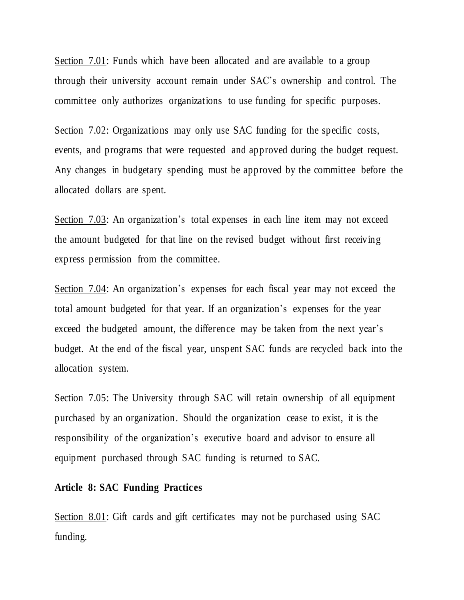Section 7.01: Funds which have been allocated and are available to a group through their university account remain under SAC's ownership and control. The committee only authorizes organizations to use funding for specific purposes.

Section 7.02: Organizations may only use SAC funding for the specific costs, events, and programs that were requested and approved during the budget request. Any changes in budgetary spending must be approved by the committee before the allocated dollars are spent.

Section 7.03: An organization's total expenses in each line item may not exceed the amount budgeted for that line on the revised budget without first receiving express permission from the committee.

Section 7.04: An organization's expenses for each fiscal year may not exceed the total amount budgeted for that year. If an organization's expenses for the year exceed the budgeted amount, the difference may be taken from the next year's budget. At the end of the fiscal year, unspent SAC funds are recycled back into the allocation system.

Section 7.05: The University through SAC will retain ownership of all equipment purchased by an organization. Should the organization cease to exist, it is the responsibility of the organization's executive board and advisor to ensure all equipment purchased through SAC funding is returned to SAC.

### **Article 8: SAC Funding Practices**

Section 8.01: Gift cards and gift certificates may not be purchased using SAC funding.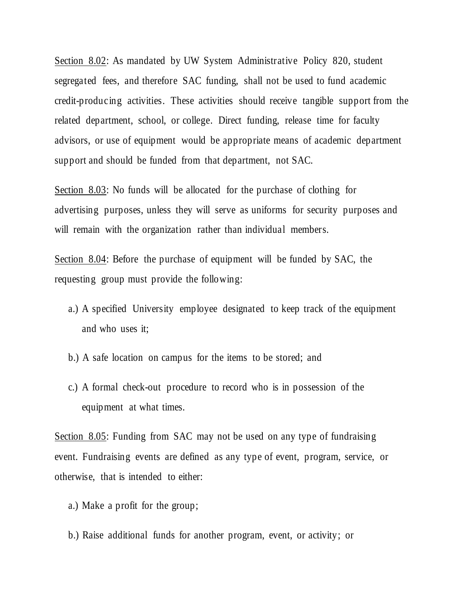Section 8.02: As mandated by UW System Administrative Policy 820, student segregated fees, and therefore SAC funding, shall not be used to fund academic credit-producing activities. These activities should receive tangible support from the related department, school, or college. Direct funding, release time for faculty advisors, or use of equipment would be appropriate means of academic department support and should be funded from that department, not SAC.

Section 8.03: No funds will be allocated for the purchase of clothing for advertising purposes, unless they will serve as uniforms for security purposes and will remain with the organization rather than individual members.

Section 8.04: Before the purchase of equipment will be funded by SAC, the requesting group must provide the following:

- a.) A specified University employee designated to keep track of the equipment and who uses it;
- b.) A safe location on campus for the items to be stored; and
- c.) A formal check-out procedure to record who is in possession of the equipment at what times.

Section 8.05: Funding from SAC may not be used on any type of fundraising event. Fundraising events are defined as any type of event, program, service, or otherwise, that is intended to either:

- a.) Make a profit for the group;
- b.) Raise additional funds for another program, event, or activity; or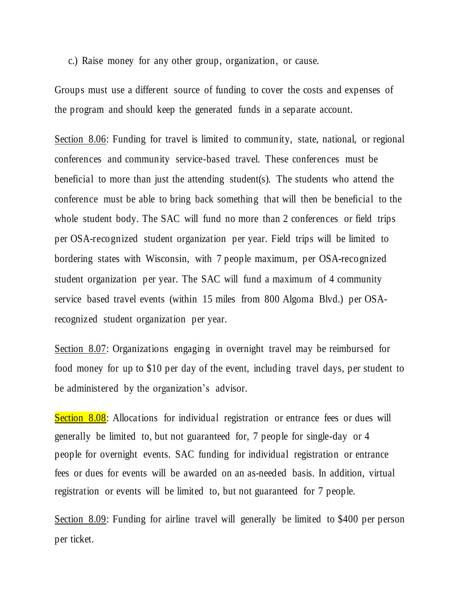c.) Raise money for any other group, organization, or cause.

Groups must use a different source of funding to cover the costs and expenses of the program and should keep the generated funds in a separate account.

Section 8.06: Funding for travel is limited to community, state, national, or regional conferences and community service-based travel. These conferences must be beneficial to more than just the attending student(s). The students who attend the conference must be able to bring back something that will then be beneficial to the whole student body. The SAC will fund no more than 2 conferences or field trips per OSA-recognized student organization per year. Field trips will be limited to bordering states with Wisconsin, with 7 people maximum, per OSA-recognized student organization per year. The SAC will fund a maximum of 4 community service based travel events (within 15 miles from 800 Algoma Blvd.) per OSArecognized student organization per year.

Section 8.07: Organizations engaging in overnight travel may be reimbursed for food money for up to \$10 per day of the event, including travel days, per student to be administered by the organization's advisor.

Section 8.08: Allocations for individual registration or entrance fees or dues will generally be limited to, but not guaranteed for, 7 people for single-day or 4 people for overnight events. SAC funding for individual registration or entrance fees or dues for events will be awarded on an as-needed basis. In addition, virtual registration or events will be limited to, but not guaranteed for 7 people.

Section 8.09: Funding for airline travel will generally be limited to \$400 per person per ticket.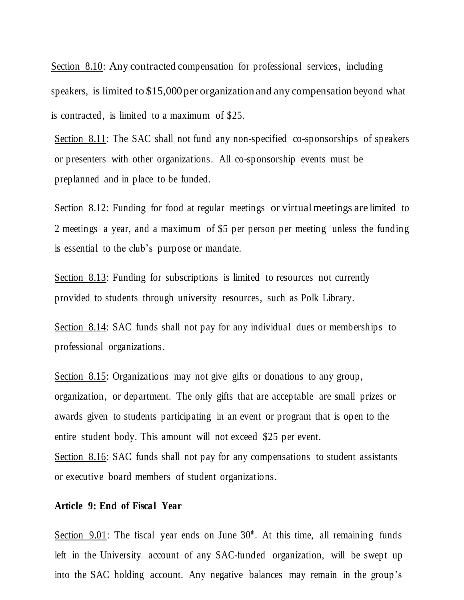Section 8.10: Any contracted compensation for professional services, including speakers, is limited to \$15,000 per organization and any compensation beyond what is contracted, is limited to a maximum of \$25.

Section 8.11: The SAC shall not fund any non-specified co-sponsorships of speakers or presenters with other organizations. All co-sponsorship events must be preplanned and in place to be funded.

Section 8.12: Funding for food at regular meetings or virtual meetings are limited to 2 meetings a year, and a maximum of \$5 per person per meeting unless the funding is essential to the club's purpose or mandate.

Section 8.13: Funding for subscriptions is limited to resources not currently provided to students through university resources, such as Polk Library.

Section 8.14: SAC funds shall not pay for any individual dues or memberships to professional organizations.

Section 8.15: Organizations may not give gifts or donations to any group, organization, or department. The only gifts that are acceptable are small prizes or awards given to students participating in an event or program that is open to the entire student body. This amount will not exceed \$25 per event. Section 8.16: SAC funds shall not pay for any compensations to student assistants

or executive board members of student organizations.

# **Article 9: End of Fiscal Year**

Section  $9.01$ : The fiscal year ends on June  $30<sup>th</sup>$ . At this time, all remaining funds left in the University account of any SAC-funded organization, will be swept up into the SAC holding account. Any negative balances may remain in the group's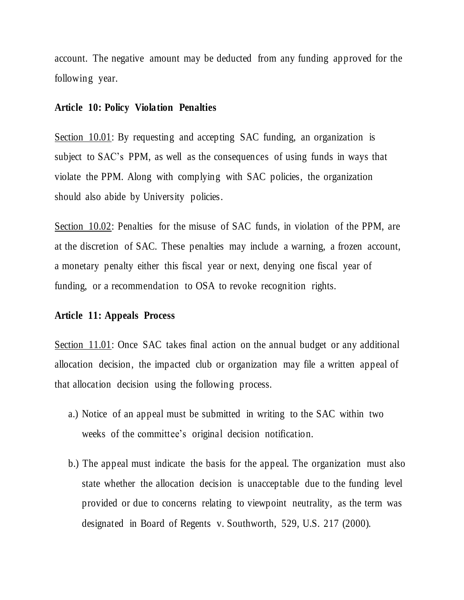account. The negative amount may be deducted from any funding approved for the following year.

# **Article 10: Policy Violation Penalties**

Section 10.01: By requesting and accepting SAC funding, an organization is subject to SAC's PPM, as well as the consequences of using funds in ways that violate the PPM. Along with complying with SAC policies, the organization should also abide by University policies.

Section 10.02: Penalties for the misuse of SAC funds, in violation of the PPM, are at the discretion of SAC. These penalties may include a warning, a frozen account, a monetary penalty either this fiscal year or next, denying one fiscal year of funding, or a recommendation to OSA to revoke recognition rights.

# **Article 11: Appeals Process**

Section 11.01: Once SAC takes final action on the annual budget or any additional allocation decision, the impacted club or organization may file a written appeal of that allocation decision using the following process.

- a.) Notice of an appeal must be submitted in writing to the SAC within two weeks of the committee's original decision notification.
- b.) The appeal must indicate the basis for the appeal. The organization must also state whether the allocation decision is unacceptable due to the funding level provided or due to concerns relating to viewpoint neutrality, as the term was designated in Board of Regents v. Southworth, 529, U.S. 217 (2000).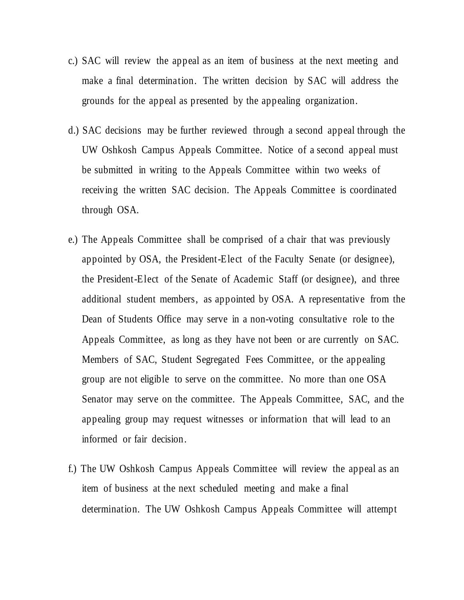- c.) SAC will review the appeal as an item of business at the next meeting and make a final determination. The written decision by SAC will address the grounds for the appeal as presented by the appealing organization.
- d.) SAC decisions may be further reviewed through a second appeal through the UW Oshkosh Campus Appeals Committee. Notice of a second appeal must be submitted in writing to the Appeals Committee within two weeks of receiving the written SAC decision. The Appeals Committee is coordinated through OSA.
- e.) The Appeals Committee shall be comprised of a chair that was previously appointed by OSA, the President-Elect of the Faculty Senate (or designee), the President-Elect of the Senate of Academic Staff (or designee), and three additional student members, as appointed by OSA. A representative from the Dean of Students Office may serve in a non-voting consultative role to the Appeals Committee, as long as they have not been or are currently on SAC. Members of SAC, Student Segregated Fees Committee, or the appealing group are not eligible to serve on the committee. No more than one OSA Senator may serve on the committee. The Appeals Committee, SAC, and the appealing group may request witnesses or information that will lead to an informed or fair decision.
- f.) The UW Oshkosh Campus Appeals Committee will review the appeal as an item of business at the next scheduled meeting and make a final determination. The UW Oshkosh Campus Appeals Committee will attempt